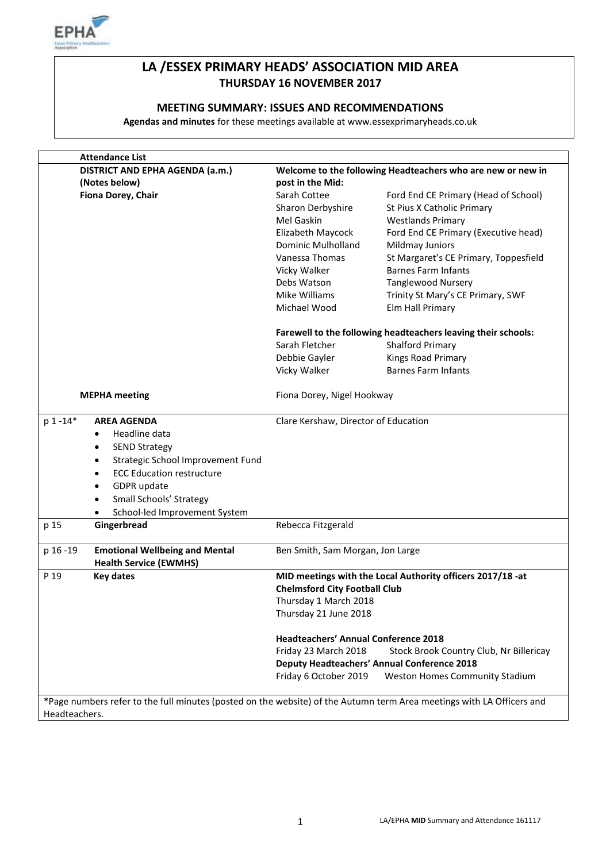

# **LA /ESSEX PRIMARY HEADS' ASSOCIATION MID AREA THURSDAY 16 NOVEMBER 2017**

### **MEETING SUMMARY: ISSUES AND RECOMMENDATIONS**

**Agendas and minutes** for these meetings available at www.essexprimaryheads.co.uk

| <b>Attendance List</b>                                                                                                |                                                                 |                                                               |  |
|-----------------------------------------------------------------------------------------------------------------------|-----------------------------------------------------------------|---------------------------------------------------------------|--|
| DISTRICT AND EPHA AGENDA (a.m.)                                                                                       | Welcome to the following Headteachers who are new or new in     |                                                               |  |
| (Notes below)                                                                                                         | post in the Mid:                                                |                                                               |  |
| Fiona Dorey, Chair                                                                                                    | Sarah Cottee                                                    | Ford End CE Primary (Head of School)                          |  |
|                                                                                                                       | Sharon Derbyshire                                               | St Pius X Catholic Primary                                    |  |
|                                                                                                                       | Mel Gaskin                                                      | <b>Westlands Primary</b>                                      |  |
|                                                                                                                       | Elizabeth Maycock                                               | Ford End CE Primary (Executive head)                          |  |
|                                                                                                                       | Dominic Mulholland                                              | Mildmay Juniors                                               |  |
|                                                                                                                       | Vanessa Thomas                                                  | St Margaret's CE Primary, Toppesfield                         |  |
|                                                                                                                       | Vicky Walker                                                    | <b>Barnes Farm Infants</b>                                    |  |
|                                                                                                                       | Debs Watson                                                     | <b>Tanglewood Nursery</b>                                     |  |
|                                                                                                                       | Mike Williams                                                   | Trinity St Mary's CE Primary, SWF                             |  |
|                                                                                                                       | Michael Wood                                                    | Elm Hall Primary                                              |  |
|                                                                                                                       |                                                                 | Farewell to the following headteachers leaving their schools: |  |
|                                                                                                                       | Sarah Fletcher                                                  | <b>Shalford Primary</b>                                       |  |
|                                                                                                                       | Debbie Gayler                                                   | Kings Road Primary                                            |  |
|                                                                                                                       | Vicky Walker                                                    | <b>Barnes Farm Infants</b>                                    |  |
| <b>MEPHA</b> meeting                                                                                                  | Fiona Dorey, Nigel Hookway                                      |                                                               |  |
| p 1-14*<br><b>AREA AGENDA</b>                                                                                         |                                                                 | Clare Kershaw, Director of Education                          |  |
| Headline data<br>٠                                                                                                    |                                                                 |                                                               |  |
| <b>SEND Strategy</b><br>٠                                                                                             |                                                                 |                                                               |  |
| Strategic School Improvement Fund<br>$\bullet$                                                                        |                                                                 |                                                               |  |
| <b>ECC Education restructure</b><br>$\bullet$                                                                         |                                                                 |                                                               |  |
| GDPR update<br>٠                                                                                                      |                                                                 |                                                               |  |
| Small Schools' Strategy                                                                                               |                                                                 |                                                               |  |
| School-led Improvement System                                                                                         |                                                                 |                                                               |  |
| Gingerbread<br>p 15                                                                                                   | Rebecca Fitzgerald                                              |                                                               |  |
| <b>Emotional Wellbeing and Mental</b><br>p 16 - 19                                                                    | Ben Smith, Sam Morgan, Jon Large                                |                                                               |  |
| <b>Health Service (EWMHS)</b>                                                                                         |                                                                 |                                                               |  |
| <b>Key dates</b><br>P 19                                                                                              |                                                                 | MID meetings with the Local Authority officers 2017/18 -at    |  |
|                                                                                                                       | <b>Chelmsford City Football Club</b>                            |                                                               |  |
|                                                                                                                       | Thursday 1 March 2018                                           |                                                               |  |
|                                                                                                                       | Thursday 21 June 2018                                           |                                                               |  |
|                                                                                                                       | <b>Headteachers' Annual Conference 2018</b>                     |                                                               |  |
|                                                                                                                       | Friday 23 March 2018<br>Stock Brook Country Club, Nr Billericay |                                                               |  |
|                                                                                                                       | <b>Deputy Headteachers' Annual Conference 2018</b>              |                                                               |  |
|                                                                                                                       | Friday 6 October 2019                                           | Weston Homes Community Stadium                                |  |
| *Page numbers refer to the full minutes (posted on the website) of the Autumn term Area meetings with LA Officers and |                                                                 |                                                               |  |
| Headteachers.                                                                                                         |                                                                 |                                                               |  |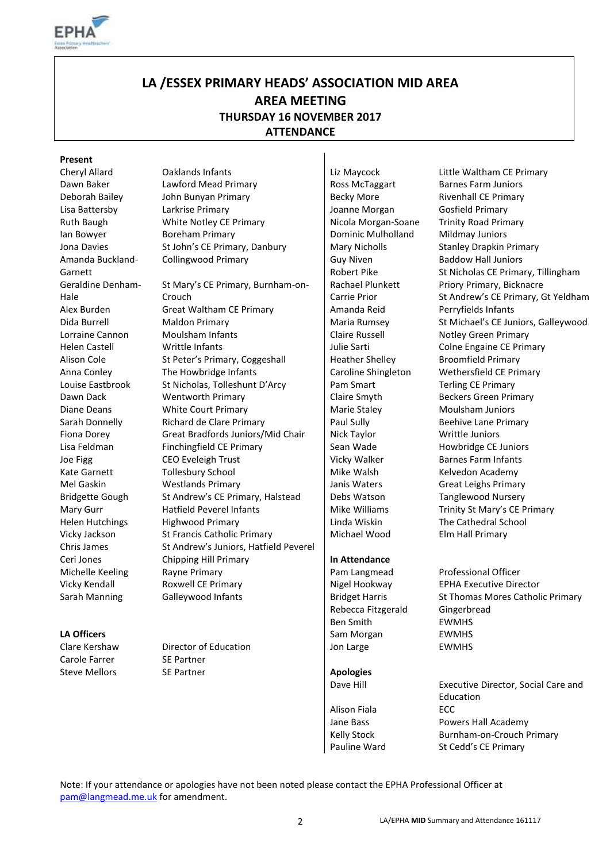

# **LA /ESSEX PRIMARY HEADS' ASSOCIATION MID AREA AREA MEETING THURSDAY 16 NOVEMBER 2017 ATTENDANCE**

#### **Present**

Amanda Buckland-Garnett Geraldine Denham-Hale

Carole Farrer SE Partner

Cheryl Allard Oaklands Infants Liz Maycock Little Waltham CE Primary Dawn Baker Lawford Mead Primary Ross McTaggart Barnes Farm Juniors Deborah Bailey John Bunyan Primary Becky More Rivenhall CE Primary Lisa Battersby Larkrise Primary Joanne Morgan Gosfield Primary Ruth Baugh **White Notley CE Primary** Nicola Morgan-Soane Trinity Road Primary Ian Bowyer **Boreham Primary Communist All Dominic Mulholland** Mildmay Juniors Jona Davies St John's CE Primary, Danbury Mary Nicholls Stanley Drapkin Primary Collingwood Primary **Guy Niven** 

St Mary's CE Primary, Burnham-on-Crouch Alex Burden Great Waltham CE Primary Amanda Reid Perryfields Infants Dida Burrell Maldon Primary Maria Rumsey St Michael's CE Juniors, Galleywood Lorraine Cannon Moulsham Infants **Claire Russell** Claire Russell Notley Green Primary Helen Castell **Writtle Infants Julie Sarti** Colne Engaine CE Primary Alison Cole St Peter's Primary, Coggeshall Fundacher Shelley Broomfield Primary Anna Conley The Howbridge Infants Caroline Shingleton Wethersfield CE Primary Louise Eastbrook St Nicholas, Tolleshunt D'Arcy Pam Smart Terling CE Primary Dawn Dack Wentworth Primary Claire Smyth Beckers Green Primary Diane Deans **Marie Court Primary** Marie Staley Moulsham Juniors Moulsham Juniors Sarah Donnelly Richard de Clare Primary Paul Sully Beehive Lane Primary Fiona Dorey Great Bradfords Juniors/Mid Chair Nick Taylor Nick Writtle Juniors Lisa Feldman Finchingfield CE Primary Fund Sean Wade Howbridge CE Juniors Joe Figg CEO Eveleigh Trust Vicky Walker Barnes Farm Infants Kate Garnett Tollesbury School | Mike Walsh Kelvedon Academy Mel Gaskin **Westlands Primary Lack Community** Janis Waters Great Leighs Primary Bridgette Gough St Andrew's CE Primary, Halstead Debs Watson Tanglewood Nursery Mary Gurr **Hatfield Peverel Infants** Mike Williams Trinity St Mary's CE Primary Mike Williams The Cathedral School Helen Hutchings Highwood Primary Linda Wiskin The Cathedral School Vicky Jackson St Francis Catholic Primary State Nichael Wood Elm Hall Primary Chris James St Andrew's Juniors, Hatfield Peverel Ceri Jones Chipping Hill Primary **In Attendance** Michelle Keeling Rayne Primary Pam Langmead Professional Officer Vicky Kendall **Roxwell CE Primary CET Algel Hookway** EPHA Executive Director Sarah Manning Galleywood Infants **Bridget Harris St Thomas Mores Catholic Primary** 

Steve Mellors SE Partner **Apologies** 

Robert Pike Rachael Plunkett Carrie Prior

Rebecca Fitzgerald Gingerbread Ben Smith EWMHS **LA Officers** EWMHS EWMENT EWALL EVER EVER A LA CHARGE EVER A LA CHARGE EVER A LA CHARGE EVER A LA CHARGE EVER A LA CHARGE EVER A LA CHARGE EVER A LA CHARGE EVER A LA CHARGE EVER A LA CHARGE EVER A LA CHARGE EVER A LA CHAR Clare Kershaw Director of Education Jon Large EWMHS

Dave Hill Executive Director, Social Care and Education Alison Fiala ECC Jane Bass Powers Hall Academy Kelly Stock Burnham-on-Crouch Primary Pauline Ward St Cedd's CE Primary

Baddow Hall Juniors

Priory Primary, Bicknacre

St Nicholas CE Primary, Tillingham

St Andrew's CE Primary, Gt Yeldham

Note: If your attendance or apologies have not been noted please contact the EPHA Professional Officer at [pam@langmead.me.uk](mailto:pam@langmead.me.uk) for amendment.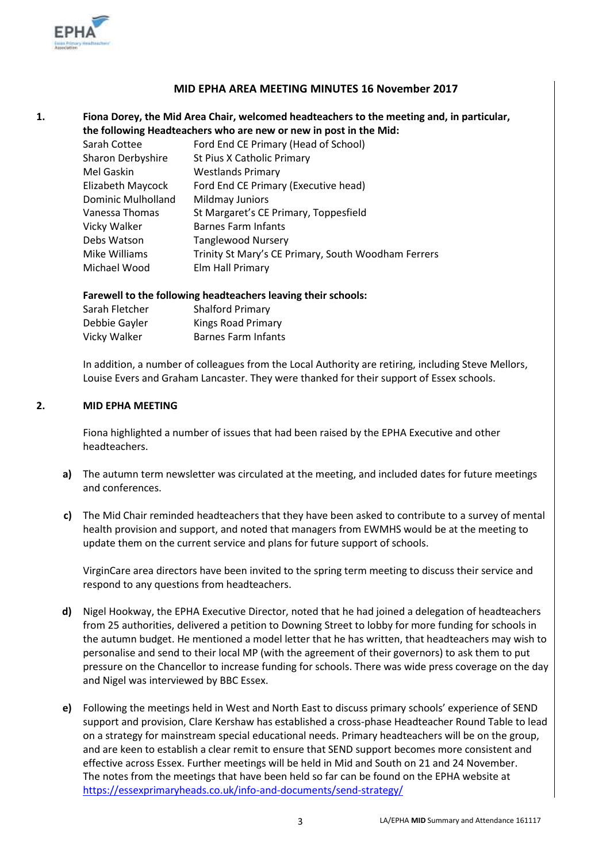

### **MID EPHA AREA MEETING MINUTES 16 November 2017**

### **1. Fiona Dorey, the Mid Area Chair, welcomed headteachers to the meeting and, in particular, the following Headteachers who are new or new in post in the Mid:**

| Ford End CE Primary (Head of School)                |
|-----------------------------------------------------|
| St Pius X Catholic Primary                          |
| <b>Westlands Primary</b>                            |
| Ford End CE Primary (Executive head)                |
| Mildmay Juniors                                     |
| St Margaret's CE Primary, Toppesfield               |
| <b>Barnes Farm Infants</b>                          |
| <b>Tanglewood Nursery</b>                           |
| Trinity St Mary's CE Primary, South Woodham Ferrers |
| Elm Hall Primary                                    |
|                                                     |

#### **Farewell to the following headteachers leaving their schools:**

| Sarah Fletcher | <b>Shalford Primary</b>    |
|----------------|----------------------------|
| Debbie Gayler  | <b>Kings Road Primary</b>  |
| Vicky Walker   | <b>Barnes Farm Infants</b> |

In addition, a number of colleagues from the Local Authority are retiring, including Steve Mellors, Louise Evers and Graham Lancaster. They were thanked for their support of Essex schools.

#### **2. MID EPHA MEETING**

Fiona highlighted a number of issues that had been raised by the EPHA Executive and other headteachers.

- **a)** The autumn term newsletter was circulated at the meeting, and included dates for future meetings and conferences.
- **c)** The Mid Chair reminded headteachers that they have been asked to contribute to a survey of mental health provision and support, and noted that managers from EWMHS would be at the meeting to update them on the current service and plans for future support of schools.

VirginCare area directors have been invited to the spring term meeting to discuss their service and respond to any questions from headteachers.

- **d)** Nigel Hookway, the EPHA Executive Director, noted that he had joined a delegation of headteachers from 25 authorities, delivered a petition to Downing Street to lobby for more funding for schools in the autumn budget. He mentioned a model letter that he has written, that headteachers may wish to personalise and send to their local MP (with the agreement of their governors) to ask them to put pressure on the Chancellor to increase funding for schools. There was wide press coverage on the day and Nigel was interviewed by BBC Essex.
- **e)** Following the meetings held in West and North East to discuss primary schools' experience of SEND support and provision, Clare Kershaw has established a cross-phase Headteacher Round Table to lead on a strategy for mainstream special educational needs. Primary headteachers will be on the group, and are keen to establish a clear remit to ensure that SEND support becomes more consistent and effective across Essex. Further meetings will be held in Mid and South on 21 and 24 November. The notes from the meetings that have been held so far can be found on the EPHA website at <https://essexprimaryheads.co.uk/info-and-documents/send-strategy/>